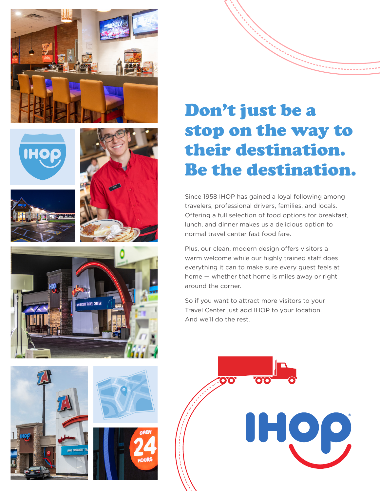













# Don't just be a stop on the way to their destination. Be the destination.

Since 1958 IHOP has gained a loyal following among travelers, professional drivers, families, and locals. Offering a full selection of food options for breakfast, lunch, and dinner makes us a delicious option to normal travel center fast food fare.

Plus, our clean, modern design offers visitors a warm welcome while our highly trained staff does everything it can to make sure every guest feels at home — whether that home is miles away or right around the corner.

So if you want to attract more visitors to your Travel Center just add IHOP to your location. And we'll do the rest.

IHOP,